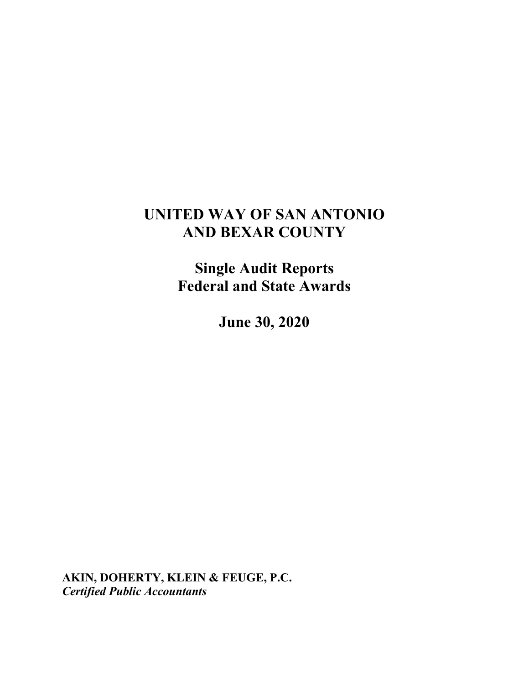# **UNITED WAY OF SAN ANTONIO AND BEXAR COUNTY**

**Single Audit Reports Federal and State Awards**

**June 30, 2020**

**AKIN, DOHERTY, KLEIN & FEUGE, P.C.** *Certified Public Accountants*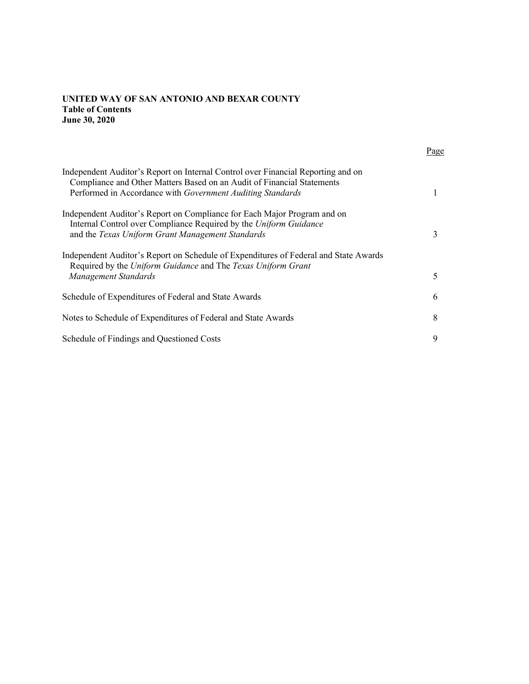## **UNITED WAY OF SAN ANTONIO AND BEXAR COUNTY Table of Contents June 30, 2020**

| Independent Auditor's Report on Internal Control over Financial Reporting and on<br>Compliance and Other Matters Based on an Audit of Financial Statements<br>Performed in Accordance with Government Auditing Standards<br>Independent Auditor's Report on Compliance for Each Major Program and on<br>Internal Control over Compliance Required by the Uniform Guidance<br>and the Texas Uniform Grant Management Standards<br>3<br>Independent Auditor's Report on Schedule of Expenditures of Federal and State Awards<br>Required by the Uniform Guidance and The Texas Uniform Grant<br>5<br>Management Standards<br>Schedule of Expenditures of Federal and State Awards<br>6<br>8<br>Notes to Schedule of Expenditures of Federal and State Awards<br>Schedule of Findings and Questioned Costs<br>9 | Page |
|--------------------------------------------------------------------------------------------------------------------------------------------------------------------------------------------------------------------------------------------------------------------------------------------------------------------------------------------------------------------------------------------------------------------------------------------------------------------------------------------------------------------------------------------------------------------------------------------------------------------------------------------------------------------------------------------------------------------------------------------------------------------------------------------------------------|------|
|                                                                                                                                                                                                                                                                                                                                                                                                                                                                                                                                                                                                                                                                                                                                                                                                              |      |
|                                                                                                                                                                                                                                                                                                                                                                                                                                                                                                                                                                                                                                                                                                                                                                                                              |      |
|                                                                                                                                                                                                                                                                                                                                                                                                                                                                                                                                                                                                                                                                                                                                                                                                              |      |
|                                                                                                                                                                                                                                                                                                                                                                                                                                                                                                                                                                                                                                                                                                                                                                                                              |      |
|                                                                                                                                                                                                                                                                                                                                                                                                                                                                                                                                                                                                                                                                                                                                                                                                              |      |
|                                                                                                                                                                                                                                                                                                                                                                                                                                                                                                                                                                                                                                                                                                                                                                                                              |      |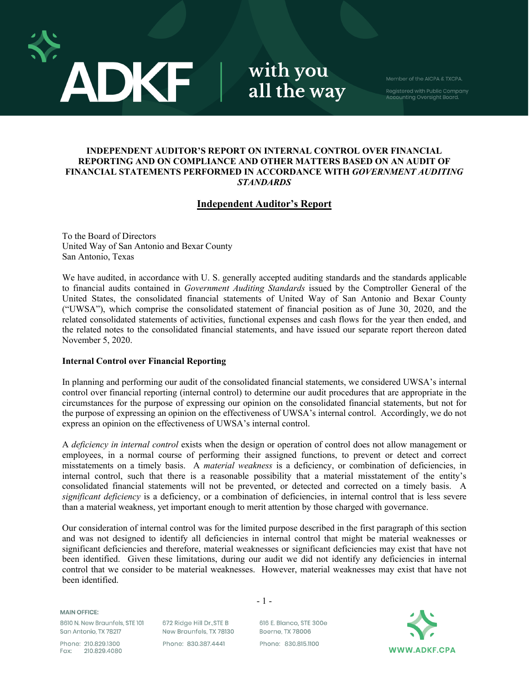

with you all the way

Member of the AICPA & TXCPA.

Registered with Public Company Accounting Oversight Board.

#### **INDEPENDENT AUDITOR'S REPORT ON INTERNAL CONTROL OVER FINANCIAL REPORTING AND ON COMPLIANCE AND OTHER MATTERS BASED ON AN AUDIT OF FINANCIAL STATEMENTS PERFORMED IN ACCORDANCE WITH** *GOVERNMENT AUDITING STANDARDS*

## **Independent Auditor's Report**

To the Board of Directors United Way of San Antonio and Bexar County San Antonio, Texas

We have audited, in accordance with U. S. generally accepted auditing standards and the standards applicable to financial audits contained in *Government Auditing Standards* issued by the Comptroller General of the United States, the consolidated financial statements of United Way of San Antonio and Bexar County ("UWSA"), which comprise the consolidated statement of financial position as of June 30, 2020, and the related consolidated statements of activities, functional expenses and cash flows for the year then ended, and the related notes to the consolidated financial statements, and have issued our separate report thereon dated November 5, 2020.

### **Internal Control over Financial Reporting**

In planning and performing our audit of the consolidated financial statements, we considered UWSA's internal control over financial reporting (internal control) to determine our audit procedures that are appropriate in the circumstances for the purpose of expressing our opinion on the consolidated financial statements, but not for the purpose of expressing an opinion on the effectiveness of UWSA's internal control. Accordingly, we do not express an opinion on the effectiveness of UWSA's internal control.

A *deficiency in internal control* exists when the design or operation of control does not allow management or employees, in a normal course of performing their assigned functions, to prevent or detect and correct misstatements on a timely basis. A *material weakness* is a deficiency, or combination of deficiencies, in internal control, such that there is a reasonable possibility that a material misstatement of the entity's consolidated financial statements will not be prevented, or detected and corrected on a timely basis. A *significant deficiency* is a deficiency, or a combination of deficiencies, in internal control that is less severe than a material weakness, yet important enough to merit attention by those charged with governance.

Our consideration of internal control was for the limited purpose described in the first paragraph of this section and was not designed to identify all deficiencies in internal control that might be material weaknesses or significant deficiencies and therefore, material weaknesses or significant deficiencies may exist that have not been identified. Given these limitations, during our audit we did not identify any deficiencies in internal control that we consider to be material weaknesses. However, material weaknesses may exist that have not been identified.

- 1 -

**MAIN OFFICE:** 

8610 N. New Braunfels, STE 101 San Antonio, TX 78217

Phone: 210.829.1300 Fax: 210.829.4080 672 Ridge Hill Dr.,STE B New Braunfels, TX 78130 Phone: 830.387.4441

616 E. Blanco, STE 300e Boerne, TX 78006 Phone: 830.815.1100

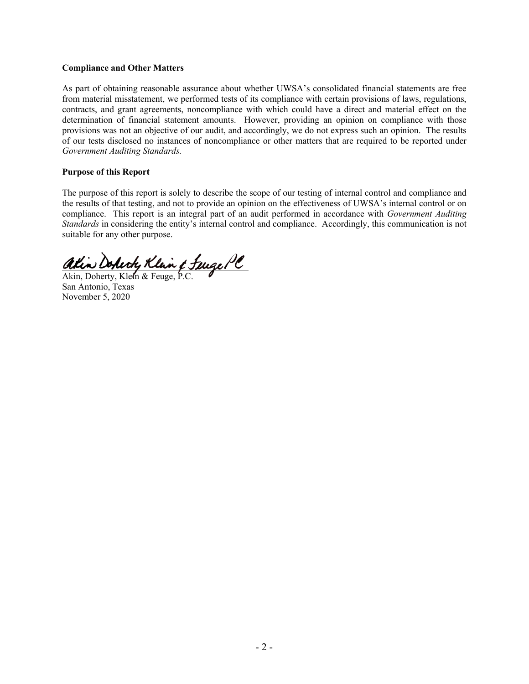#### **Compliance and Other Matters**

As part of obtaining reasonable assurance about whether UWSA's consolidated financial statements are free from material misstatement, we performed tests of its compliance with certain provisions of laws, regulations, contracts, and grant agreements, noncompliance with which could have a direct and material effect on the determination of financial statement amounts. However, providing an opinion on compliance with those provisions was not an objective of our audit, and accordingly, we do not express such an opinion. The results of our tests disclosed no instances of noncompliance or other matters that are required to be reported under *Government Auditing Standards.*

#### **Purpose of this Report**

The purpose of this report is solely to describe the scope of our testing of internal control and compliance and the results of that testing, and not to provide an opinion on the effectiveness of UWSA's internal control or on compliance. This report is an integral part of an audit performed in accordance with *Government Auditing Standards* in considering the entity's internal control and compliance. Accordingly, this communication is not suitable for any other purpose.

alin Doleck, Klan & fuge PC

San Antonio, Texas November 5, 2020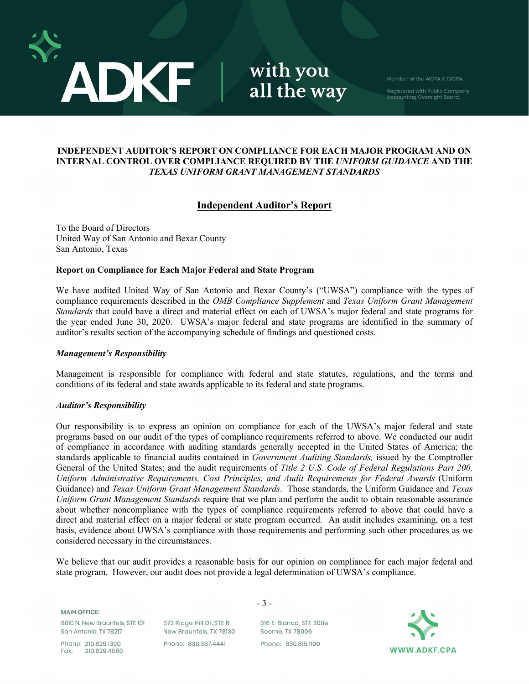

with you all the way

Member of the AICPA & TXCPA.

Registered with Public Company

#### **INDEPENDENT AUDITOR'S REPORT ON COMPLIANCE FOR EACH MAJOR PROGRAM AND ON INTERNAL CONTROL OVER COMPLIANCE REQUIRED BY THE** *UNIFORM GUIDANCE* **AND THE**  *TEXAS UNIFORM GRANT MANAGEMENT STANDARDS*

## **Independent Auditor's Report**

To the Board of Directors United Way of San Antonio and Bexar County San Antonio, Texas

#### **Report on Compliance for Each Major Federal and State Program**

We have audited United Way of San Antonio and Bexar County's ("UWSA") compliance with the types of compliance requirements described in the *OMB Compliance Supplement* and *Texas Uniform Grant Management Standards* that could have a direct and material effect on each of UWSA's major federal and state programs for the year ended June 30, 2020. UWSA's major federal and state programs are identified in the summary of auditor's results section of the accompanying schedule of findings and questioned costs.

#### *Management's Responsibility*

Management is responsible for compliance with federal and state statutes, regulations, and the terms and conditions of its federal and state awards applicable to its federal and state programs.

### *Auditor's Responsibility*

Our responsibility is to express an opinion on compliance for each of the UWSA's major federal and state programs based on our audit of the types of compliance requirements referred to above. We conducted our audit of compliance in accordance with auditing standards generally accepted in the United States of America; the standards applicable to financial audits contained in *Government Auditing Standards,* issued by the Comptroller General of the United States; and the audit requirements of *Title 2 U.S. Code of Federal Regulations Part 200, Uniform Administrative Requirements, Cost Principles, and Audit Requirements for Federal Awards* (Uniform Guidance) and *Texas Uniform Grant Management Standards*. Those standards, the Uniform Guidance and *Texas Uniform Grant Management Standards* require that we plan and perform the audit to obtain reasonable assurance about whether noncompliance with the types of compliance requirements referred to above that could have a direct and material effect on a major federal or state program occurred. An audit includes examining, on a test basis, evidence about UWSA's compliance with those requirements and performing such other procedures as we considered necessary in the circumstances.

We believe that our audit provides a reasonable basis for our opinion on compliance for each major federal and state program. However, our audit does not provide a legal determination of UWSA's compliance.

- 3 -

**MAIN OFFICE:** 

8610 N. New Braunfels, STE 101 San Antonio, TX 78217

672 Ridge Hill Dr.,STE B New Braunfels, TX 78130 Phone: 830.387.4441

616 E. Blanco, STE 300e Boerne, TX 78006 Phone: 830.815.1100



Phone: 210.829.1300 Fax: 210.829.4080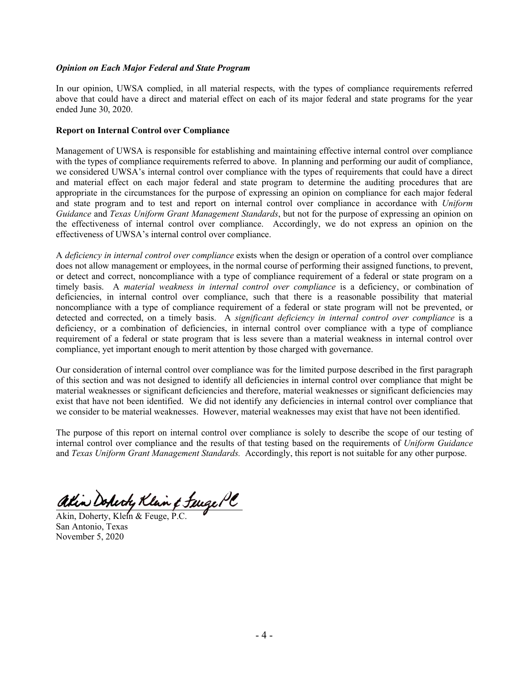#### *Opinion on Each Major Federal and State Program*

In our opinion, UWSA complied, in all material respects, with the types of compliance requirements referred above that could have a direct and material effect on each of its major federal and state programs for the year ended June 30, 2020.

#### **Report on Internal Control over Compliance**

Management of UWSA is responsible for establishing and maintaining effective internal control over compliance with the types of compliance requirements referred to above. In planning and performing our audit of compliance, we considered UWSA's internal control over compliance with the types of requirements that could have a direct and material effect on each major federal and state program to determine the auditing procedures that are appropriate in the circumstances for the purpose of expressing an opinion on compliance for each major federal and state program and to test and report on internal control over compliance in accordance with *Uniform Guidance* and *Texas Uniform Grant Management Standards*, but not for the purpose of expressing an opinion on the effectiveness of internal control over compliance. Accordingly, we do not express an opinion on the effectiveness of UWSA's internal control over compliance.

A *deficiency in internal control over compliance* exists when the design or operation of a control over compliance does not allow management or employees, in the normal course of performing their assigned functions, to prevent, or detect and correct, noncompliance with a type of compliance requirement of a federal or state program on a timely basis. A *material weakness in internal control over compliance* is a deficiency, or combination of deficiencies, in internal control over compliance, such that there is a reasonable possibility that material noncompliance with a type of compliance requirement of a federal or state program will not be prevented, or detected and corrected, on a timely basis. A *significant deficiency in internal control over compliance* is a deficiency, or a combination of deficiencies, in internal control over compliance with a type of compliance requirement of a federal or state program that is less severe than a material weakness in internal control over compliance, yet important enough to merit attention by those charged with governance.

Our consideration of internal control over compliance was for the limited purpose described in the first paragraph of this section and was not designed to identify all deficiencies in internal control over compliance that might be material weaknesses or significant deficiencies and therefore, material weaknesses or significant deficiencies may exist that have not been identified. We did not identify any deficiencies in internal control over compliance that we consider to be material weaknesses. However, material weaknesses may exist that have not been identified.

The purpose of this report on internal control over compliance is solely to describe the scope of our testing of internal control over compliance and the results of that testing based on the requirements of *Uniform Guidance* and *Texas Uniform Grant Management Standards.* Accordingly, this report is not suitable for any other purpose.

Atin Dokeck, Klan & fuge PC

San Antonio, Texas November 5, 2020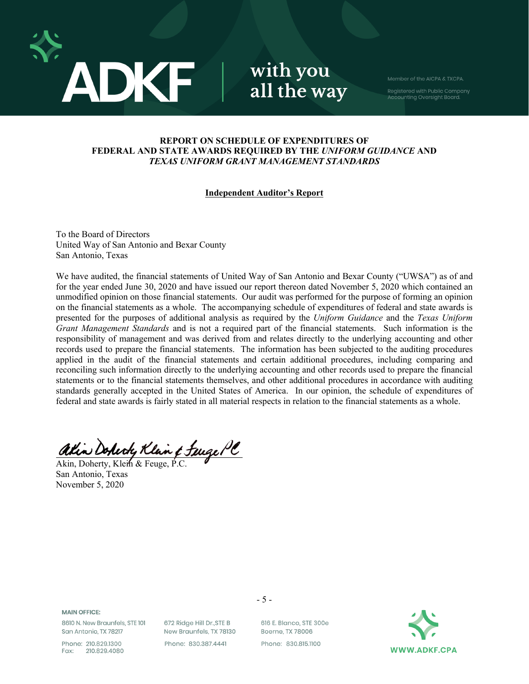with you all the way

Member of the AICPA & TXCPA.

Registered with Public Company Accounting Oversight Board.

#### **REPORT ON SCHEDULE OF EXPENDITURES OF FEDERAL AND STATE AWARDS REQUIRED BY THE** *UNIFORM GUIDANCE* **AND**  *TEXAS UNIFORM GRANT MANAGEMENT STANDARDS*

#### **Independent Auditor's Report**

To the Board of Directors United Way of San Antonio and Bexar County San Antonio, Texas

ADKF

We have audited, the financial statements of United Way of San Antonio and Bexar County ("UWSA") as of and for the year ended June 30, 2020 and have issued our report thereon dated November 5, 2020 which contained an unmodified opinion on those financial statements. Our audit was performed for the purpose of forming an opinion on the financial statements as a whole. The accompanying schedule of expenditures of federal and state awards is presented for the purposes of additional analysis as required by the *Uniform Guidance* and the *Texas Uniform Grant Management Standards* and is not a required part of the financial statements. Such information is the responsibility of management and was derived from and relates directly to the underlying accounting and other records used to prepare the financial statements. The information has been subjected to the auditing procedures applied in the audit of the financial statements and certain additional procedures, including comparing and reconciling such information directly to the underlying accounting and other records used to prepare the financial statements or to the financial statements themselves, and other additional procedures in accordance with auditing standards generally accepted in the United States of America. In our opinion, the schedule of expenditures of federal and state awards is fairly stated in all material respects in relation to the financial statements as a whole.

alin Doderty Klan & Fuge PC

San Antonio, Texas November 5, 2020

#### **MAIN OFFICE:**

8610 N. New Braunfels, STE 101 San Antonio, TX 78217

Phone: 210.829.1300 Fax: 210.829.4080 672 Ridge Hill Dr.,STE B New Braunfels, TX 78130

Phone: 830.387.4441

616 E. Blanco, STE 300e Boerne, TX 78006 Phone: 830.815.1100



- 5 -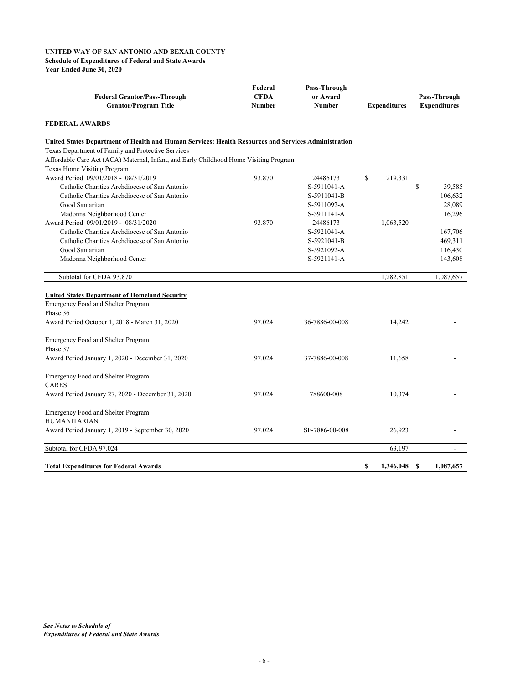#### **UNITED WAY OF SAN ANTONIO AND BEXAR COUNTY Schedule of Expenditures of Federal and State Awards**

**Year Ended June 30, 2020**

| <b>Federal Grantor/Pass-Through</b><br><b>Grantor/Program Title</b>                                 | Federal<br><b>CFDA</b><br><b>Number</b> | Pass-Through<br>or Award<br><b>Number</b> | <b>Expenditures</b> | Pass-Through<br><b>Expenditures</b> |
|-----------------------------------------------------------------------------------------------------|-----------------------------------------|-------------------------------------------|---------------------|-------------------------------------|
| <b>FEDERAL AWARDS</b>                                                                               |                                         |                                           |                     |                                     |
| United States Department of Health and Human Services: Health Resources and Services Administration |                                         |                                           |                     |                                     |
| Texas Department of Family and Protective Services                                                  |                                         |                                           |                     |                                     |
| Affordable Care Act (ACA) Maternal, Infant, and Early Childhood Home Visiting Program               |                                         |                                           |                     |                                     |
| Texas Home Visiting Program                                                                         |                                         |                                           |                     |                                     |
| Award Period 09/01/2018 - 08/31/2019                                                                | 93.870                                  | 24486173                                  | \$<br>219,331       |                                     |
| Catholic Charities Archdiocese of San Antonio                                                       |                                         | S-5911041-A                               |                     | \$<br>39,585                        |
| Catholic Charities Archdiocese of San Antonio                                                       |                                         | S-5911041-B                               |                     | 106,632                             |
| Good Samaritan                                                                                      |                                         | S-5911092-A                               |                     | 28,089                              |
| Madonna Neighborhood Center                                                                         |                                         | S-5911141-A                               |                     | 16,296                              |
| Award Period 09/01/2019 - 08/31/2020                                                                | 93.870                                  | 24486173                                  | 1,063,520           |                                     |
| Catholic Charities Archdiocese of San Antonio                                                       |                                         | S-5921041-A                               |                     | 167,706                             |
| Catholic Charities Archdiocese of San Antonio                                                       |                                         | S-5921041-B                               |                     | 469,311                             |
| Good Samaritan                                                                                      |                                         | S-5921092-A                               |                     | 116,430                             |
| Madonna Neighborhood Center                                                                         |                                         | S-5921141-A                               |                     | 143,608                             |
| Subtotal for CFDA 93.870                                                                            |                                         |                                           | 1,282,851           | 1,087,657                           |
|                                                                                                     |                                         |                                           |                     |                                     |
| <b>United States Department of Homeland Security</b>                                                |                                         |                                           |                     |                                     |
| Emergency Food and Shelter Program                                                                  |                                         |                                           |                     |                                     |
| Phase 36                                                                                            |                                         |                                           |                     |                                     |
| Award Period October 1, 2018 - March 31, 2020                                                       | 97.024                                  | 36-7886-00-008                            | 14,242              |                                     |
|                                                                                                     |                                         |                                           |                     |                                     |
| Emergency Food and Shelter Program                                                                  |                                         |                                           |                     |                                     |
| Phase 37                                                                                            |                                         |                                           |                     |                                     |
| Award Period January 1, 2020 - December 31, 2020                                                    | 97.024                                  | 37-7886-00-008                            | 11,658              |                                     |
|                                                                                                     |                                         |                                           |                     |                                     |
| <b>Emergency Food and Shelter Program</b>                                                           |                                         |                                           |                     |                                     |
| <b>CARES</b>                                                                                        |                                         |                                           |                     |                                     |
| Award Period January 27, 2020 - December 31, 2020                                                   | 97.024                                  | 788600-008                                | 10,374              |                                     |
|                                                                                                     |                                         |                                           |                     |                                     |
| Emergency Food and Shelter Program                                                                  |                                         |                                           |                     |                                     |
| <b>HUMANITARIAN</b>                                                                                 |                                         |                                           |                     |                                     |
| Award Period January 1, 2019 - September 30, 2020                                                   | 97.024                                  | SF-7886-00-008                            | 26,923              |                                     |
|                                                                                                     |                                         |                                           |                     |                                     |
| Subtotal for CFDA 97.024                                                                            |                                         |                                           | 63,197              | Ξ.                                  |
|                                                                                                     |                                         |                                           |                     |                                     |
| <b>Total Expenditures for Federal Awards</b>                                                        |                                         |                                           | \$<br>1,346,048 \$  | 1,087,657                           |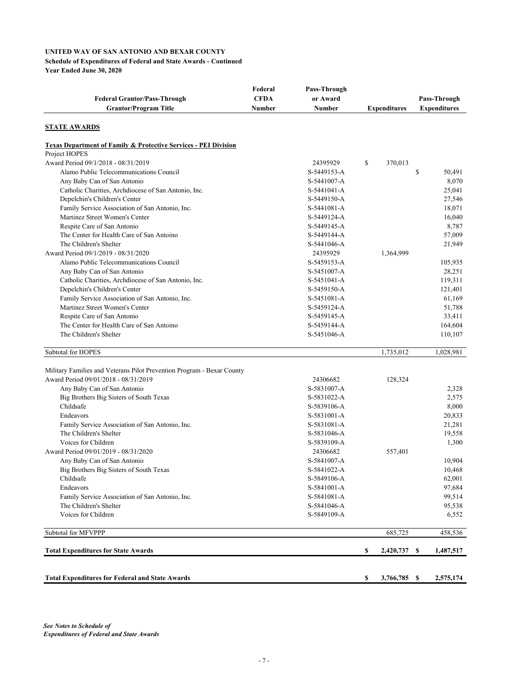#### **UNITED WAY OF SAN ANTONIO AND BEXAR COUNTY**

#### **Schedule of Expenditures of Federal and State Awards - Continued**

**Year Ended June 30, 2020**

| <b>Federal Grantor/Pass-Through</b>                                        | Federal<br><b>CFDA</b> | Pass-Through<br>or Award   |    |                     | Pass-Through        |
|----------------------------------------------------------------------------|------------------------|----------------------------|----|---------------------|---------------------|
| <b>Grantor/Program Title</b>                                               | Number                 | Number                     |    | <b>Expenditures</b> | <b>Expenditures</b> |
| <b>STATE AWARDS</b>                                                        |                        |                            |    |                     |                     |
| <b>Texas Department of Family &amp; Protective Services - PEI Division</b> |                        |                            |    |                     |                     |
| Project HOPES                                                              |                        |                            |    |                     |                     |
| Award Period 09/1/2018 - 08/31/2019                                        |                        | 24395929                   | \$ | 370,013             |                     |
| Alamo Public Telecommunications Council                                    |                        | S-5449153-A                |    |                     | \$<br>50,491        |
| Any Baby Can of San Antonio                                                |                        | S-5441007-A                |    |                     | 8,070               |
| Catholic Charities, Archdiocese of San Antonio, Inc.                       |                        | S-5441041-A                |    |                     | 25,041              |
| Depelchin's Children's Center                                              |                        | S-5449150-A                |    |                     | 27,546              |
| Family Service Association of San Antonio, Inc.                            |                        | S-5441081-A                |    |                     | 18,071              |
| Martinez Street Women's Center                                             |                        | S-5449124-A                |    |                     | 16,040              |
| Respite Care of San Antonio                                                |                        | S-5449145-A                |    |                     | 8,787               |
| The Center for Health Care of San Antoino                                  |                        | S-5449144-A                |    |                     | 57,009              |
| The Children's Shelter                                                     |                        | S-5441046-A                |    |                     | 21,949              |
| Award Period 09/1/2019 - 08/31/2020                                        |                        | 24395929                   |    | 1,364,999           |                     |
| Alamo Public Telecommunications Council                                    |                        | S-5459153-A                |    |                     | 105,935             |
| Any Baby Can of San Antonio                                                |                        | S-5451007-A                |    |                     | 28,251              |
| Catholic Charities, Archdiocese of San Antonio, Inc.                       |                        | S-5451041-A                |    |                     | 119,311             |
| Depelchin's Children's Center                                              |                        | S-5459150-A                |    |                     | 121,401             |
| Family Service Association of San Antonio, Inc.                            |                        | S-5451081-A                |    |                     | 61,169              |
| Martinez Street Women's Center                                             |                        | S-5459124-A                |    |                     | 51,788              |
| Respite Care of San Antonio<br>The Center for Health Care of San Antoino   |                        | S-5459145-A                |    |                     | 33,411              |
| The Children's Shelter                                                     |                        | S-5459144-A<br>S-5451046-A |    |                     | 164,604<br>110,107  |
|                                                                            |                        |                            |    |                     |                     |
| Subtotal for HOPES                                                         |                        |                            |    | 1,735,012           | 1,028,981           |
| Military Families and Veterans Pilot Prevention Program - Bexar County     |                        |                            |    |                     |                     |
| Award Period 09/01/2018 - 08/31/2019                                       |                        | 24306682                   |    | 128,324             |                     |
| Any Baby Can of San Antonio                                                |                        | S-5831007-A                |    |                     | 2,328               |
| Big Brothers Big Sisters of South Texas                                    |                        | S-5831022-A                |    |                     | 2,575               |
| Childsafe                                                                  |                        | S-5839106-A                |    |                     | 8,000               |
| Endeavors                                                                  |                        | S-5831001-A                |    |                     | 20,833              |
| Family Service Association of San Antonio, Inc.                            |                        | S-5831081-A                |    |                     | 21,281              |
| The Children's Shelter                                                     |                        | S-5831046-A                |    |                     | 19,558              |
| Voices for Children                                                        |                        | S-5839109-A                |    |                     | 1,300               |
| Award Period 09/01/2019 - 08/31/2020                                       |                        | 24306682                   |    | 557,401             |                     |
| Any Baby Can of San Antonio                                                |                        | S-5841007-A                |    |                     | 10,904              |
| Big Brothers Big Sisters of South Texas                                    |                        | S-5841022-A                |    |                     | 10,468              |
| Childsafe                                                                  |                        | S-5849106-A                |    |                     | 62,001              |
| Endeavors                                                                  |                        | S-5841001-A                |    |                     | 97,684              |
| Family Service Association of San Antonio, Inc.                            |                        | S-5841081-A                |    |                     | 99,514              |
| The Children's Shelter                                                     |                        | S-5841046-A                |    |                     | 95,538              |
| Voices for Children                                                        |                        | S-5849109-A                |    |                     | 6,552               |
| <b>Subtotal for MFVPPP</b>                                                 |                        |                            |    | 685,725             | 458,536             |
| <b>Total Expenditures for State Awards</b>                                 |                        |                            | \$ | 2,420,737 \$        | 1,487,517           |
|                                                                            |                        |                            |    |                     |                     |
| <b>Total Expenditures for Federal and State Awards</b>                     |                        |                            | S  | 3,766,785 \$        | 2,575,174           |

*See Notes to Schedule of Expenditures of Federal and State Awards*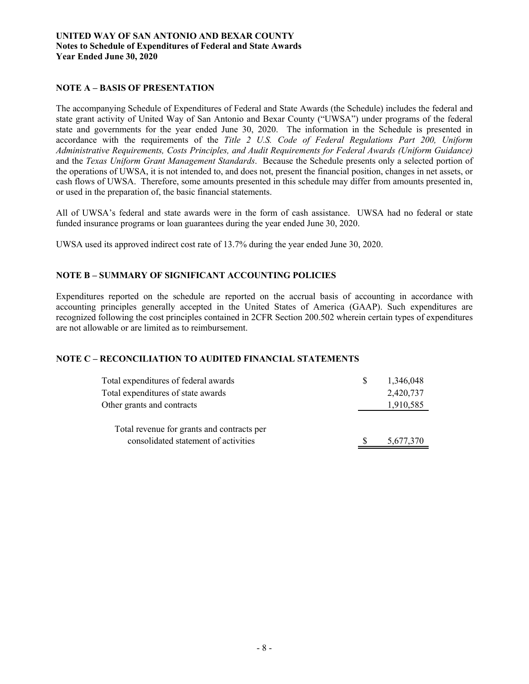## **NOTE A – BASIS OF PRESENTATION**

The accompanying Schedule of Expenditures of Federal and State Awards (the Schedule) includes the federal and state grant activity of United Way of San Antonio and Bexar County ("UWSA") under programs of the federal state and governments for the year ended June 30, 2020. The information in the Schedule is presented in accordance with the requirements of the *Title 2 U.S. Code of Federal Regulations Part 200, Uniform Administrative Requirements, Costs Principles, and Audit Requirements for Federal Awards (Uniform Guidance)* and the *Texas Uniform Grant Management Standards*. Because the Schedule presents only a selected portion of the operations of UWSA, it is not intended to, and does not, present the financial position, changes in net assets, or cash flows of UWSA. Therefore, some amounts presented in this schedule may differ from amounts presented in, or used in the preparation of, the basic financial statements.

All of UWSA's federal and state awards were in the form of cash assistance. UWSA had no federal or state funded insurance programs or loan guarantees during the year ended June 30, 2020.

UWSA used its approved indirect cost rate of 13.7% during the year ended June 30, 2020.

## **NOTE B – SUMMARY OF SIGNIFICANT ACCOUNTING POLICIES**

Expenditures reported on the schedule are reported on the accrual basis of accounting in accordance with accounting principles generally accepted in the United States of America (GAAP). Such expenditures are recognized following the cost principles contained in 2CFR Section 200.502 wherein certain types of expenditures are not allowable or are limited as to reimbursement.

### **NOTE C – RECONCILIATION TO AUDITED FINANCIAL STATEMENTS**

| Total expenditures of federal awards       | <sup>S</sup> | 1,346,048 |
|--------------------------------------------|--------------|-----------|
| Total expenditures of state awards         |              | 2,420,737 |
| Other grants and contracts                 |              | 1,910,585 |
|                                            |              |           |
| Total revenue for grants and contracts per |              |           |
| consolidated statement of activities       |              | 5,677,370 |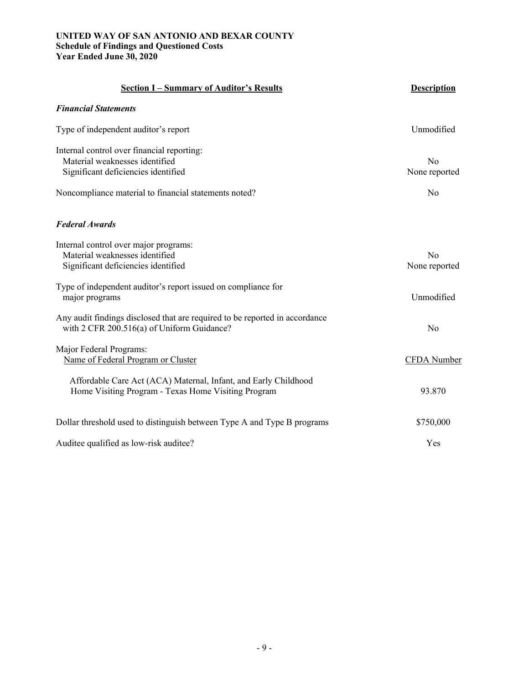## **UNITED WAY OF SAN ANTONIO AND BEXAR COUNTY Schedule of Findings and Questioned Costs Year Ended June 30, 2020**

| <b>Section I – Summary of Auditor's Results</b>                                                                           | <b>Description</b>              |
|---------------------------------------------------------------------------------------------------------------------------|---------------------------------|
| <b>Financial Statements</b>                                                                                               |                                 |
| Type of independent auditor's report                                                                                      | Unmodified                      |
| Internal control over financial reporting:<br>Material weaknesses identified<br>Significant deficiencies identified       | N <sub>o</sub><br>None reported |
| Noncompliance material to financial statements noted?                                                                     | N <sub>0</sub>                  |
| <b>Federal Awards</b>                                                                                                     |                                 |
| Internal control over major programs:<br>Material weaknesses identified<br>Significant deficiencies identified            | N <sub>o</sub><br>None reported |
| Type of independent auditor's report issued on compliance for<br>major programs                                           | Unmodified                      |
| Any audit findings disclosed that are required to be reported in accordance<br>with 2 CFR 200.516(a) of Uniform Guidance? | N <sub>o</sub>                  |
| Major Federal Programs:<br>Name of Federal Program or Cluster                                                             | CFDA Number                     |
| Affordable Care Act (ACA) Maternal, Infant, and Early Childhood<br>Home Visiting Program - Texas Home Visiting Program    | 93.870                          |
| Dollar threshold used to distinguish between Type A and Type B programs                                                   | \$750,000                       |
| Auditee qualified as low-risk auditee?                                                                                    | Yes                             |